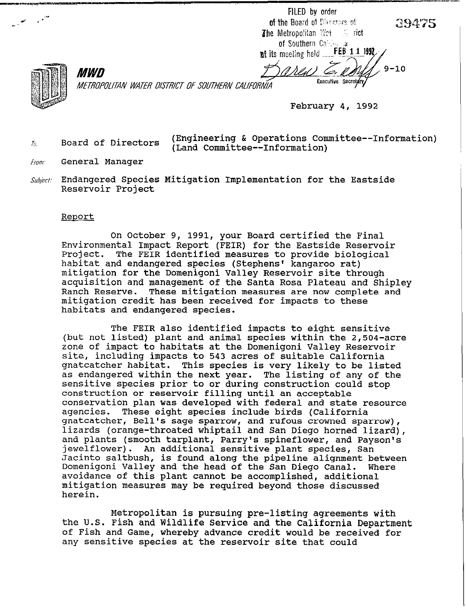FILED by order of the Board of Discours of The Metropolitan Wet  $\sim$  rict of Southern California FEB 1 1 1992

at its meeting held .......

*MWD* METROPOLITAN WATER DISTRICT OF SOUTHERN CALIFORNIA

February 4, 1992

Executive Secretary

*TS.* 

Board of Directors (Engineering & Operations Committee--Information) (Land Committee--Information)

- Fram: General Manager
- *Subject*  Endangered Species Mitigation Implementation for the Eastside Reservoir Project

## **Report**

On October 9, 1991, your Board certified the Final Environmental Impact Report (FEIR) for the Eastside Reservoir<br>Project. The FEIR identified measures to provide biological The FEIR identified measures to provide biological habitat and endangered species (Stephens' kangaroo rat) mitigation for the Domenigoni Valley Reservoir site through acquisition and management of the Santa Rosa Plateau and Shipley These mitigation measures are now complete and mitigation credit has been received for impacts to these habitats and endangered species.

The FEIR also identified impacts to eight sensitive (but not listed) plant and animal species within the 2,504-acre zone of impact to habitats at the Domenigoni Valley Reservoir site, including impacts to 543 acres of suitable California gnatcatcher habitat. This species is very likely to be listed as endangered within the next year. The listing of any of the sensitive species prior to or during construction could stop construction or reservoir filling until an acceptable conservation plan was developed with federal and state resource agencies. These eight species include birds (California gnatcatcher, Bell's sage sparrow, and rufous crowned sparrow), lizards (orange-throated whiptail and San Diego horned lizard), and plants (smooth tarplant, Parry's spineflower, and Payson's jewelflower). An additional sensitive plant species, San Jacinto saltbush, is found along the pipeline alignment between Domenigoni Valley and the head of the San Diego Canal. avoidance of this plant cannot be accomplished, additional mitigation measures may be required beyond those discussed herein.

Metropolitan is pursuing pre-listing agreements with the U.S. Fish and Wildlife Service and the California Department of Fish and Game, whereby advance credit would be received for any sensitive species at the reservoir site that could

 $9 - 10$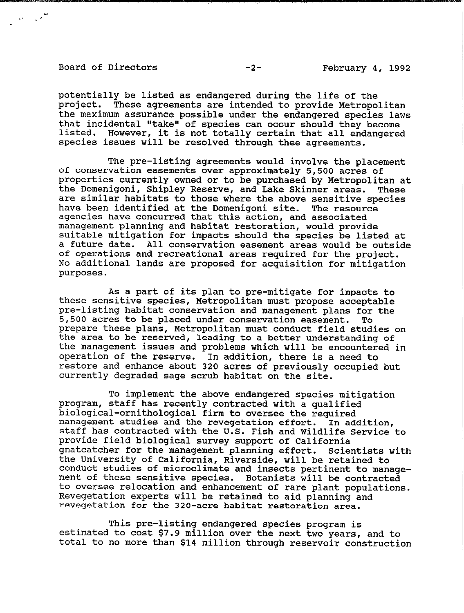## Board of Directors **February 4, 1992**

 $\frac{1}{2}$  ,  $\frac{1}{2}$  ,  $\frac{1}{2}$ 

**potentially be listed as endangered during the life of the project. These agreements are intended to provide Metropolitan the maximum assurance possible under the endangered species laws**  that incidental "take" of species can occur should they become **listed. However, it is not totally certain that all endangered species issues will be resolved through thee agreements.** 

**The pre-listing agreements would involve the placement of conservation easements over approximately 5,500 acres of properties currently owned or to be purchased by Metropolitan at**  the Domenigoni, Shipley Reserve, and Lake Skinner areas. **are similar habitats to those where the above sensitive species have been identified at the Domenigoni site. The resource agencies have concurred that this action, and associated management planning and habitat restoration, would provide suitable mitigation for impacts should the species be listed at a future date. All conservation easement areas would be outside of operations and recreational areas required for the project. No additional lands are proposed for acquisition for mitigation purposes.** 

**As a part of its plan to pre-mitigate for impacts to these sensitive species, Metropolitan must propose acceptable pre-listing habitat conservation and management plans for the 5,500 acres to be placed under conservation easement. To prepare these plans, Metropolitan must conduct field studies on the area to be reserved, leading to a better understanding of the management issues and problems which will be encountered in operation of the reserve. In addition, there is a need to restore and enhance about 320 acres of previously occupied but currently degraded sage scrub habitat on the site.** 

**To implement the above endangered species mitigation program, staff has recently contracted with a qualified biological-ornithological firm to oversee the required management studies and the revegetation effort. In addition, staff has contracted with the U.S. Fish and Wildlife Service to provide field biological survey support of California**  gnatcatcher for the management planning effort. **the University of California, Riverside, will be retained to conduct studies of microclimate and insects pertinent to management of these sensitive species. Botanists will be contracted to oversee relocation and enhancement of rare plant populations. Revegetation experts will be retained to aid planning and revegetation for the 320-acre habitat restoration area.** 

**This pre-listing endangered species program is estimated to cost \$7.9 million over the next two years, and to total to no more than \$14 million through reservoir construction**